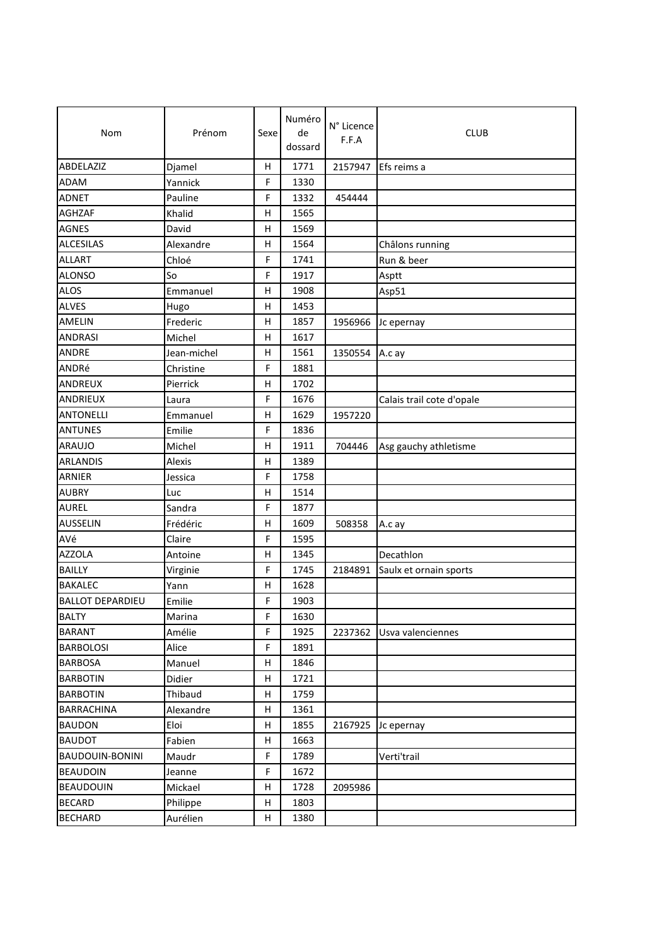| Nom                     | Prénom      | Sexe        | Numéro<br>de<br>dossard | N° Licence<br>F.F.A | <b>CLUB</b>               |
|-------------------------|-------------|-------------|-------------------------|---------------------|---------------------------|
| ABDELAZIZ               | Djamel      | H           | 1771                    | 2157947             | Efs reims a               |
| ADAM                    | Yannick     | F           | 1330                    |                     |                           |
| <b>ADNET</b>            | Pauline     | F           | 1332                    | 454444              |                           |
| <b>AGHZAF</b>           | Khalid      | н           | 1565                    |                     |                           |
| <b>AGNES</b>            | David       | н           | 1569                    |                     |                           |
| <b>ALCESILAS</b>        | Alexandre   | Η           | 1564                    |                     | Châlons running           |
| <b>ALLART</b>           | Chloé       | F           | 1741                    |                     | Run & beer                |
| <b>ALONSO</b>           | So          | F           | 1917                    |                     | Asptt                     |
| <b>ALOS</b>             | Emmanuel    | н           | 1908                    |                     | Asp51                     |
| <b>ALVES</b>            | Hugo        | н           | 1453                    |                     |                           |
| AMELIN                  | Frederic    | н           | 1857                    | 1956966             | Jc epernay                |
| <b>ANDRASI</b>          | Michel      | н           | 1617                    |                     |                           |
| <b>ANDRE</b>            | Jean-michel | н           | 1561                    | 1350554 A.c ay      |                           |
| ANDRé                   | Christine   | F           | 1881                    |                     |                           |
| ANDREUX                 | Pierrick    | Η           | 1702                    |                     |                           |
| ANDRIEUX                | Laura       | F           | 1676                    |                     | Calais trail cote d'opale |
| <b>ANTONELLI</b>        | Emmanuel    | н           | 1629                    | 1957220             |                           |
| <b>ANTUNES</b>          | Emilie      | F           | 1836                    |                     |                           |
| <b>ARAUJO</b>           | Michel      | Η           | 1911                    | 704446              | Asg gauchy athletisme     |
| <b>ARLANDIS</b>         | Alexis      | Η           | 1389                    |                     |                           |
| <b>ARNIER</b>           | Jessica     | F           | 1758                    |                     |                           |
| <b>AUBRY</b>            | Luc         | н           | 1514                    |                     |                           |
| <b>AUREL</b>            | Sandra      | F           | 1877                    |                     |                           |
| <b>AUSSELIN</b>         | Frédéric    | н           | 1609                    | 508358              | A.c ay                    |
| AVé                     | Claire      | F           | 1595                    |                     |                           |
| <b>AZZOLA</b>           | Antoine     | н           | 1345                    |                     | Decathlon                 |
| <b>BAILLY</b>           | Virginie    | F           | 1745                    | 2184891             | Saulx et ornain sports    |
| <b>BAKALEC</b>          | Yann        | Η           | 1628                    |                     |                           |
| <b>BALLOT DEPARDIEU</b> | Emilie      | F           | 1903                    |                     |                           |
| <b>BALTY</b>            | Marina      | $\mathsf F$ | 1630                    |                     |                           |
| <b>BARANT</b>           | Amélie      | F           | 1925                    | 2237362             | Usva valenciennes         |
| <b>BARBOLOSI</b>        | Alice       | F           | 1891                    |                     |                           |
| <b>BARBOSA</b>          | Manuel      | Н           | 1846                    |                     |                           |
| <b>BARBOTIN</b>         | Didier      | Н           | 1721                    |                     |                           |
| <b>BARBOTIN</b>         | Thibaud     | н           | 1759                    |                     |                           |
| <b>BARRACHINA</b>       | Alexandre   | Н           | 1361                    |                     |                           |
| <b>BAUDON</b>           | Eloi        | Н           | 1855                    | 2167925             | Jc epernay                |
| <b>BAUDOT</b>           | Fabien      | Н           | 1663                    |                     |                           |
| BAUDOUIN-BONINI         | Maudr       | F           | 1789                    |                     | Verti'trail               |
| <b>BEAUDOIN</b>         | Jeanne      | F           | 1672                    |                     |                           |
| <b>BEAUDOUIN</b>        | Mickael     | н           | 1728                    | 2095986             |                           |
| <b>BECARD</b>           | Philippe    | н           | 1803                    |                     |                           |
| <b>BECHARD</b>          | Aurélien    | H           | 1380                    |                     |                           |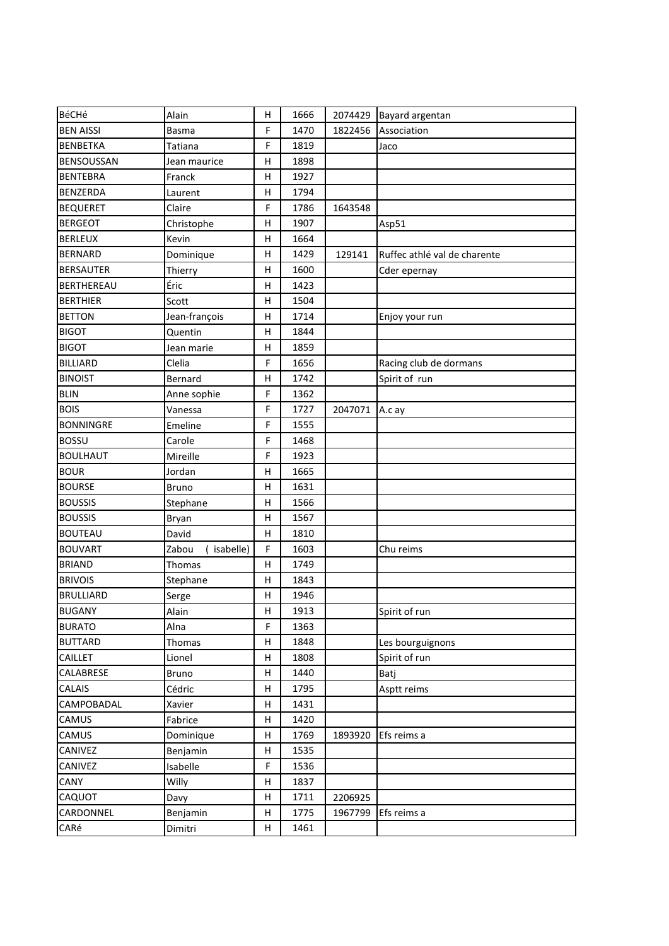| BéCHé             | Alain               | н | 1666 |         | 2074429 Bayard argentan      |
|-------------------|---------------------|---|------|---------|------------------------------|
| <b>BEN AISSI</b>  | <b>Basma</b>        | F | 1470 | 1822456 | Association                  |
| <b>BENBETKA</b>   | Tatiana             | F | 1819 |         | Jaco                         |
| <b>BENSOUSSAN</b> | Jean maurice        | н | 1898 |         |                              |
| <b>BENTEBRA</b>   | Franck              | Η | 1927 |         |                              |
| <b>BENZERDA</b>   | Laurent             | н | 1794 |         |                              |
| <b>BEQUERET</b>   | Claire              | F | 1786 | 1643548 |                              |
| <b>BERGEOT</b>    | Christophe          | Η | 1907 |         | Asp51                        |
| <b>BERLEUX</b>    | Kevin               | Η | 1664 |         |                              |
| <b>BERNARD</b>    | Dominique           | Η | 1429 | 129141  | Ruffec athlé val de charente |
| <b>BERSAUTER</b>  | Thierry             | н | 1600 |         | Cder epernay                 |
| <b>BERTHEREAU</b> | Éric                | Η | 1423 |         |                              |
| <b>BERTHIER</b>   | Scott               | Η | 1504 |         |                              |
| <b>BETTON</b>     | Jean-françois       | Η | 1714 |         | Enjoy your run               |
| <b>BIGOT</b>      | Quentin             | Η | 1844 |         |                              |
| <b>BIGOT</b>      | Jean marie          | Н | 1859 |         |                              |
| <b>BILLIARD</b>   | Clelia              | F | 1656 |         | Racing club de dormans       |
| <b>BINOIST</b>    | Bernard             | н | 1742 |         | Spirit of run                |
| <b>BLIN</b>       | Anne sophie         | F | 1362 |         |                              |
| <b>BOIS</b>       | Vanessa             | F | 1727 | 2047071 | A.c ay                       |
| <b>BONNINGRE</b>  | Emeline             | F | 1555 |         |                              |
| <b>BOSSU</b>      | Carole              | F | 1468 |         |                              |
| <b>BOULHAUT</b>   | Mireille            | F | 1923 |         |                              |
| <b>BOUR</b>       | Jordan              | Η | 1665 |         |                              |
| <b>BOURSE</b>     | <b>Bruno</b>        | Η | 1631 |         |                              |
| <b>BOUSSIS</b>    | Stephane            | н | 1566 |         |                              |
| <b>BOUSSIS</b>    | Bryan               | н | 1567 |         |                              |
| <b>BOUTEAU</b>    | David               | н | 1810 |         |                              |
| <b>BOUVART</b>    | Zabou<br>(isabelle) | F | 1603 |         | Chu reims                    |
| <b>BRIAND</b>     | Thomas              | Η | 1749 |         |                              |
| <b>BRIVOIS</b>    | Stephane            | н | 1843 |         |                              |
| <b>BRULLIARD</b>  | Serge               | Η | 1946 |         |                              |
| <b>BUGANY</b>     | Alain               | Н | 1913 |         | Spirit of run                |
| <b>BURATO</b>     | Alna                | F | 1363 |         |                              |
| <b>BUTTARD</b>    | Thomas              | н | 1848 |         | Les bourguignons             |
| CAILLET           | Lionel              | Η | 1808 |         | Spirit of run                |
| CALABRESE         | <b>Bruno</b>        | Н | 1440 |         | Batj                         |
| CALAIS            | Cédric              | Н | 1795 |         | Asptt reims                  |
| CAMPOBADAL        | Xavier              | н | 1431 |         |                              |
| CAMUS             | Fabrice             | н | 1420 |         |                              |
| CAMUS             | Dominique           | н | 1769 | 1893920 | Efs reims a                  |
| CANIVEZ           | Benjamin            | Н | 1535 |         |                              |
| CANIVEZ           | Isabelle            | F | 1536 |         |                              |
| CANY              | Willy               | Н | 1837 |         |                              |
| CAQUOT            | Davy                | Н | 1711 | 2206925 |                              |
| CARDONNEL         | Benjamin            | н | 1775 | 1967799 | Efs reims a                  |
| CARé              | Dimitri             | н | 1461 |         |                              |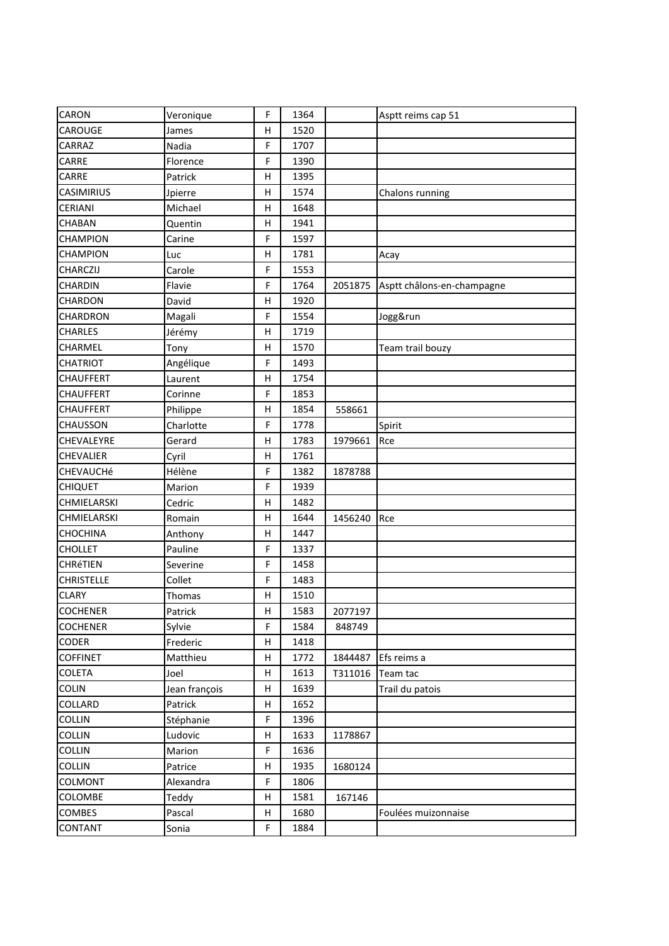| CARON             | Veronique     | F            | 1364 |         | Asptt reims cap 51         |
|-------------------|---------------|--------------|------|---------|----------------------------|
| CAROUGE           | James         | H            | 1520 |         |                            |
| CARRAZ            | Nadia         | F            | 1707 |         |                            |
| CARRE             | Florence      | F            | 1390 |         |                            |
| CARRE             | Patrick       | H            | 1395 |         |                            |
| <b>CASIMIRIUS</b> | Jpierre       | н            | 1574 |         | Chalons running            |
| CERIANI           | Michael       | H            | 1648 |         |                            |
| CHABAN            | Quentin       | H            | 1941 |         |                            |
| <b>CHAMPION</b>   | Carine        | F            | 1597 |         |                            |
| CHAMPION          | Luc           | $\mathsf{H}$ | 1781 |         | Acay                       |
| CHARCZIJ          | Carole        | F            | 1553 |         |                            |
| CHARDIN           | Flavie        | F            | 1764 | 2051875 | Asptt châlons-en-champagne |
| CHARDON           | David         | H            | 1920 |         |                            |
| CHARDRON          | Magali        | F            | 1554 |         | Jogg&run                   |
| <b>CHARLES</b>    | Jérémy        | $\sf H$      | 1719 |         |                            |
| CHARMEL           | Tony          | H            | 1570 |         | Team trail bouzy           |
| <b>CHATRIOT</b>   | Angélique     | F            | 1493 |         |                            |
| CHAUFFERT         | Laurent       | $\mathsf{H}$ | 1754 |         |                            |
| <b>CHAUFFERT</b>  | Corinne       | F            | 1853 |         |                            |
| <b>CHAUFFERT</b>  | Philippe      | H            | 1854 | 558661  |                            |
| CHAUSSON          | Charlotte     | F            | 1778 |         | Spirit                     |
| CHEVALEYRE        | Gerard        | н            | 1783 | 1979661 | Rce                        |
| CHEVALIER         | Cyril         | Н            | 1761 |         |                            |
| CHEVAUCHé         | Hélène        | F            | 1382 | 1878788 |                            |
| <b>CHIQUET</b>    | Marion        | F            | 1939 |         |                            |
| CHMIELARSKI       | Cedric        | н            | 1482 |         |                            |
| CHMIELARSKI       | Romain        | H            | 1644 | 1456240 | Rce                        |
| CHOCHINA          | Anthony       | H            | 1447 |         |                            |
| <b>CHOLLET</b>    | Pauline       | F            | 1337 |         |                            |
| CHRéTIEN          | Severine      | F            | 1458 |         |                            |
| <b>CHRISTELLE</b> | Collet        | F            | 1483 |         |                            |
| <b>CLARY</b>      | Thomas        | н            | 1510 |         |                            |
| <b>COCHENER</b>   | Patrick       | $\sf H$      | 1583 | 2077197 |                            |
| <b>COCHENER</b>   | Sylvie        | F            | 1584 | 848749  |                            |
| <b>CODER</b>      | Frederic      | н            | 1418 |         |                            |
| <b>COFFINET</b>   | Matthieu      | н            | 1772 | 1844487 | Efs reims a                |
| COLETA            | Joel          | н            | 1613 | T311016 | Team tac                   |
| <b>COLIN</b>      | Jean françois | н            | 1639 |         | Trail du patois            |
| COLLARD           | Patrick       | н            | 1652 |         |                            |
| COLLIN            | Stéphanie     | F            | 1396 |         |                            |
| COLLIN            | Ludovic       | н            | 1633 | 1178867 |                            |
| COLLIN            | Marion        | F            | 1636 |         |                            |
| COLLIN            | Patrice       | $\mathsf{H}$ | 1935 | 1680124 |                            |
| COLMONT           | Alexandra     | F            | 1806 |         |                            |
| COLOMBE           | Teddy         | $\sf H$      | 1581 | 167146  |                            |
| COMBES            | Pascal        | н            | 1680 |         | Foulées muizonnaise        |
| CONTANT           | Sonia         | F            | 1884 |         |                            |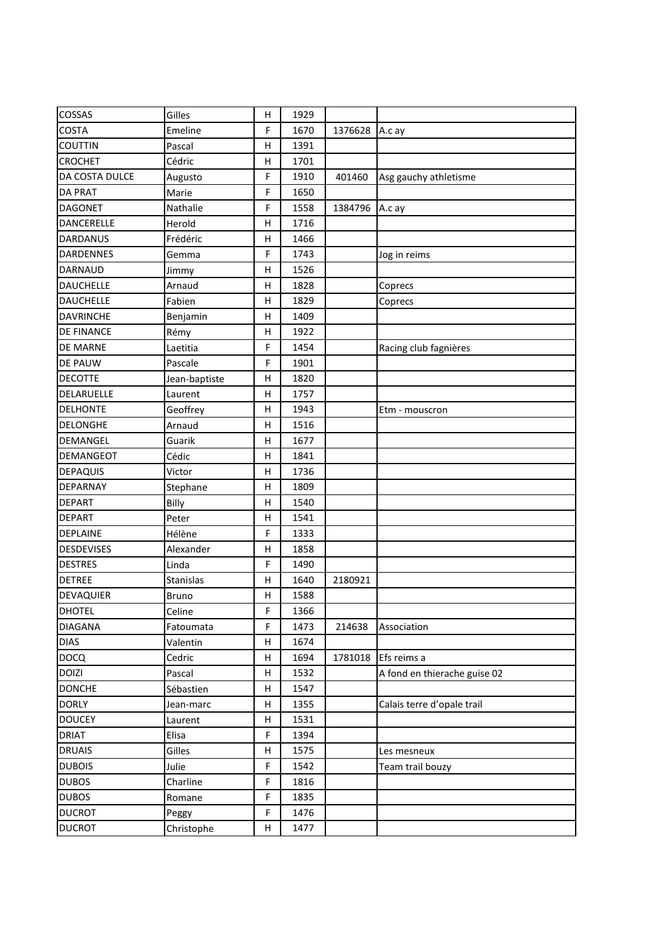| COSSAS            | Gilles        | H            | 1929 |         |                              |
|-------------------|---------------|--------------|------|---------|------------------------------|
| <b>COSTA</b>      | Emeline       | F            | 1670 | 1376628 | A.c ay                       |
| COUTTIN           | Pascal        | Н            | 1391 |         |                              |
| <b>CROCHET</b>    | Cédric        | Н            | 1701 |         |                              |
| DA COSTA DULCE    | Augusto       | F            | 1910 | 401460  | Asg gauchy athletisme        |
| <b>DA PRAT</b>    | Marie         | F            | 1650 |         |                              |
| <b>DAGONET</b>    | Nathalie      | F            | 1558 | 1384796 | A.c ay                       |
| DANCERELLE        | Herold        | H            | 1716 |         |                              |
| DARDANUS          | Frédéric      | н            | 1466 |         |                              |
| <b>DARDENNES</b>  | Gemma         | F            | 1743 |         | Jog in reims                 |
| DARNAUD           | Jimmy         | H            | 1526 |         |                              |
| <b>DAUCHELLE</b>  | Arnaud        | н            | 1828 |         | Coprecs                      |
| <b>DAUCHELLE</b>  | Fabien        | H            | 1829 |         | Coprecs                      |
| <b>DAVRINCHE</b>  | Benjamin      | Н            | 1409 |         |                              |
| DE FINANCE        | Rémy          | H            | 1922 |         |                              |
| <b>DE MARNE</b>   | Laetitia      | F            | 1454 |         | Racing club fagnières        |
| DE PAUW           | Pascale       | F            | 1901 |         |                              |
| <b>DECOTTE</b>    | Jean-baptiste | Н            | 1820 |         |                              |
| DELARUELLE        | Laurent       | н            | 1757 |         |                              |
| <b>DELHONTE</b>   | Geoffrey      | H            | 1943 |         | Etm - mouscron               |
| <b>DELONGHE</b>   | Arnaud        | Н            | 1516 |         |                              |
| DEMANGEL          | Guarik        | н            | 1677 |         |                              |
| DEMANGEOT         | Cédic         | H            | 1841 |         |                              |
| <b>DEPAQUIS</b>   | Victor        | Н            | 1736 |         |                              |
| DEPARNAY          | Stephane      | H            | 1809 |         |                              |
| <b>DEPART</b>     | Billy         | H            | 1540 |         |                              |
| <b>DEPART</b>     | Peter         | Н            | 1541 |         |                              |
| DEPLAINE          | Hélène        | F            | 1333 |         |                              |
| <b>DESDEVISES</b> | Alexander     | н            | 1858 |         |                              |
| <b>DESTRES</b>    | Linda         | F            | 1490 |         |                              |
| <b>DETREE</b>     | Stanislas     | Н            | 1640 | 2180921 |                              |
| DEVAQUIER         | <b>Bruno</b>  | н            | 1588 |         |                              |
| <b>DHOTEL</b>     | Celine        | F            | 1366 |         |                              |
| <b>DIAGANA</b>    | Fatoumata     | F            | 1473 | 214638  | Association                  |
| <b>DIAS</b>       | Valentin      | $\sf H$      | 1674 |         |                              |
| <b>DOCQ</b>       | Cedric        | $\mathsf{H}$ | 1694 | 1781018 | Efs reims a                  |
| <b>DOIZI</b>      | Pascal        | н            | 1532 |         | A fond en thierache guise 02 |
| <b>DONCHE</b>     | Sébastien     | н            | 1547 |         |                              |
| <b>DORLY</b>      | Jean-marc     | н            | 1355 |         | Calais terre d'opale trail   |
| <b>DOUCEY</b>     | Laurent       | н            | 1531 |         |                              |
| <b>DRIAT</b>      | Elisa         | F            | 1394 |         |                              |
| <b>DRUAIS</b>     | Gilles        | н            | 1575 |         | Les mesneux                  |
| <b>DUBOIS</b>     | Julie         | F            | 1542 |         | Team trail bouzy             |
| <b>DUBOS</b>      | Charline      | F            | 1816 |         |                              |
| <b>DUBOS</b>      | Romane        | F            | 1835 |         |                              |
| <b>DUCROT</b>     | Peggy         | F            | 1476 |         |                              |
| <b>DUCROT</b>     | Christophe    | н            | 1477 |         |                              |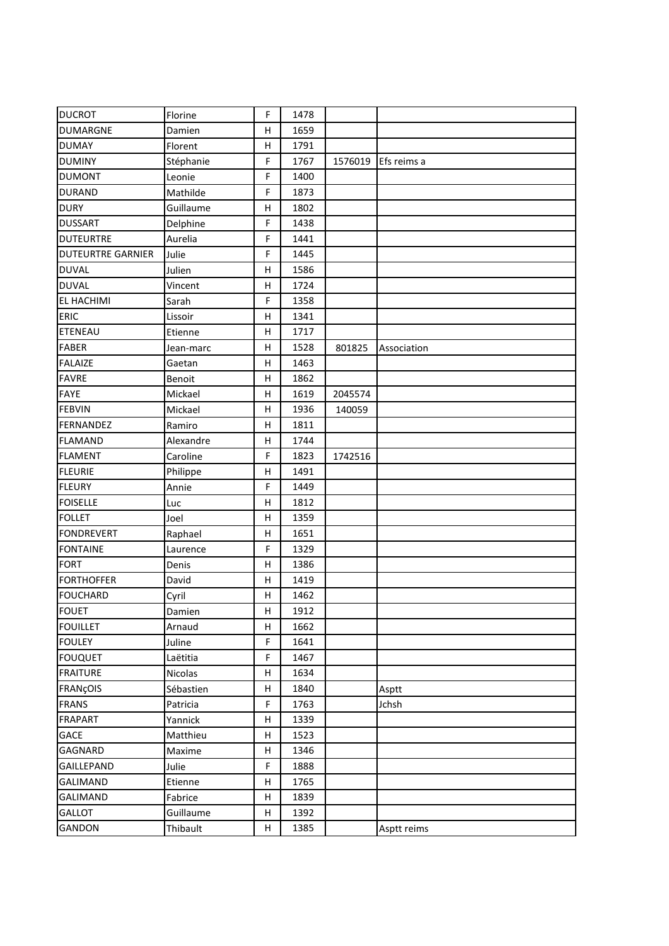| <b>DUCROT</b>            | Florine   | F            | 1478 |         |             |
|--------------------------|-----------|--------------|------|---------|-------------|
| <b>DUMARGNE</b>          | Damien    | н            | 1659 |         |             |
| <b>DUMAY</b>             | Florent   | $\sf H$      | 1791 |         |             |
| <b>DUMINY</b>            | Stéphanie | F            | 1767 | 1576019 | Efs reims a |
| <b>DUMONT</b>            | Leonie    | F            | 1400 |         |             |
| <b>DURAND</b>            | Mathilde  | F            | 1873 |         |             |
| <b>DURY</b>              | Guillaume | $\mathsf{H}$ | 1802 |         |             |
| <b>DUSSART</b>           | Delphine  | F            | 1438 |         |             |
| <b>DUTEURTRE</b>         | Aurelia   | F            | 1441 |         |             |
| <b>DUTEURTRE GARNIER</b> | Julie     | F            | 1445 |         |             |
| <b>DUVAL</b>             | Julien    | H            | 1586 |         |             |
| <b>DUVAL</b>             | Vincent   | н            | 1724 |         |             |
| EL HACHIMI               | Sarah     | F            | 1358 |         |             |
| <b>ERIC</b>              | Lissoir   | H            | 1341 |         |             |
| <b>ETENEAU</b>           | Etienne   | н            | 1717 |         |             |
| <b>FABER</b>             | Jean-marc | H            | 1528 | 801825  | Association |
| <b>FALAIZE</b>           | Gaetan    | н            | 1463 |         |             |
| <b>FAVRE</b>             | Benoit    | $\sf H$      | 1862 |         |             |
| <b>FAYE</b>              | Mickael   | $\mathsf{H}$ | 1619 | 2045574 |             |
| <b>FEBVIN</b>            | Mickael   | $\mathsf{H}$ | 1936 | 140059  |             |
| FERNANDEZ                | Ramiro    | H            | 1811 |         |             |
| <b>FLAMAND</b>           | Alexandre | н            | 1744 |         |             |
| <b>FLAMENT</b>           | Caroline  | F            | 1823 | 1742516 |             |
| <b>FLEURIE</b>           | Philippe  | $\sf H$      | 1491 |         |             |
| <b>FLEURY</b>            | Annie     | F            | 1449 |         |             |
| <b>FOISELLE</b>          | Luc       | H            | 1812 |         |             |
| <b>FOLLET</b>            | Joel      | н            | 1359 |         |             |
| <b>FONDREVERT</b>        | Raphael   | $\sf H$      | 1651 |         |             |
| <b>FONTAINE</b>          | Laurence  | F            | 1329 |         |             |
| <b>FORT</b>              | Denis     | $\mathsf{H}$ | 1386 |         |             |
| <b>FORTHOFFER</b>        | David     | H            | 1419 |         |             |
| <b>FOUCHARD</b>          | Cyril     | н            | 1462 |         |             |
| <b>FOUET</b>             | Damien    | н            | 1912 |         |             |
| <b>FOUILLET</b>          | Arnaud    | н            | 1662 |         |             |
| <b>FOULEY</b>            | Juline    | F            | 1641 |         |             |
| <b>FOUQUET</b>           | Laëtitia  | F            | 1467 |         |             |
| <b>FRAITURE</b>          | Nicolas   | н            | 1634 |         |             |
| <b>FRANÇOIS</b>          | Sébastien | Н            | 1840 |         | Asptt       |
| <b>FRANS</b>             | Patricia  | F            | 1763 |         | Jchsh       |
| FRAPART                  | Yannick   | Н            | 1339 |         |             |
| GACE                     | Matthieu  | Н            | 1523 |         |             |
| GAGNARD                  | Maxime    | н            | 1346 |         |             |
| GAILLEPAND               | Julie     | F            | 1888 |         |             |
| <b>GALIMAND</b>          | Etienne   | н            | 1765 |         |             |
| GALIMAND                 | Fabrice   | н            | 1839 |         |             |
| <b>GALLOT</b>            | Guillaume | $\sf H$      | 1392 |         |             |
| GANDON                   | Thibault  | н            | 1385 |         | Asptt reims |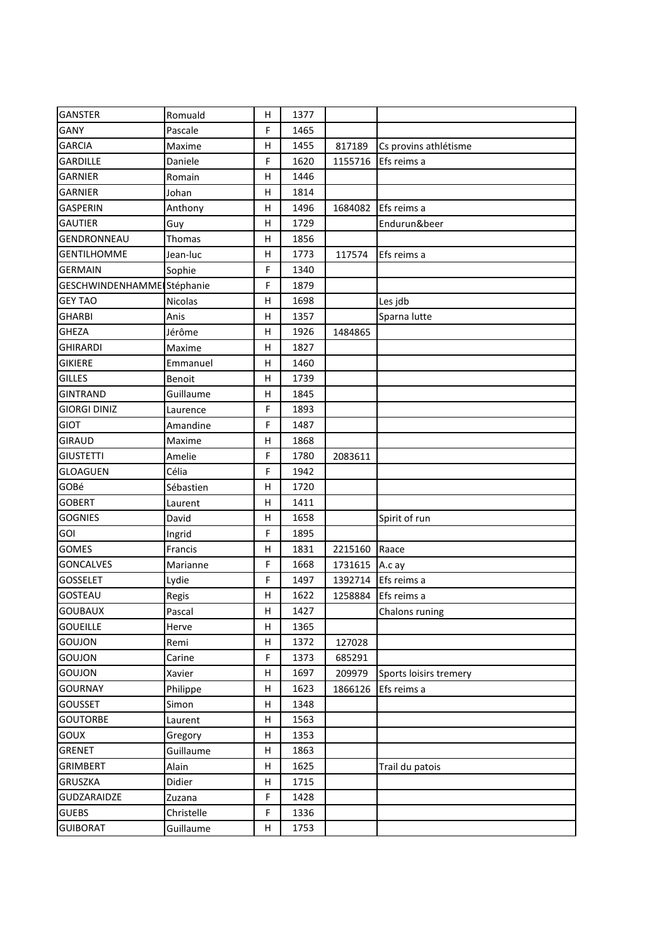| <b>GANSTER</b>             | Romuald    | н           | 1377 |         |                        |
|----------------------------|------------|-------------|------|---------|------------------------|
| GANY                       | Pascale    | F           | 1465 |         |                        |
| <b>GARCIA</b>              | Maxime     | н           | 1455 | 817189  | Cs provins athlétisme  |
| <b>GARDILLE</b>            | Daniele    | F           | 1620 | 1155716 | Efs reims a            |
| <b>GARNIER</b>             | Romain     | Η           | 1446 |         |                        |
| <b>GARNIER</b>             | Johan      | н           | 1814 |         |                        |
| <b>GASPERIN</b>            | Anthony    | н           | 1496 | 1684082 | Efs reims a            |
| <b>GAUTIER</b>             | Guy        | Η           | 1729 |         | Endurun&beer           |
| GENDRONNEAU                | Thomas     | Н           | 1856 |         |                        |
| <b>GENTILHOMME</b>         | Jean-luc   | Н           | 1773 | 117574  | Efs reims a            |
| <b>GERMAIN</b>             | Sophie     | F           | 1340 |         |                        |
| GESCHWINDENHAMME Stéphanie |            | F           | 1879 |         |                        |
| <b>GEY TAO</b>             | Nicolas    | н           | 1698 |         | Les jdb                |
| <b>GHARBI</b>              | Anis       | Н           | 1357 |         | Sparna lutte           |
| <b>GHEZA</b>               | Jérôme     | Η           | 1926 | 1484865 |                        |
| <b>GHIRARDI</b>            | Maxime     | Н           | 1827 |         |                        |
| <b>GIKIERE</b>             | Emmanuel   | н           | 1460 |         |                        |
| <b>GILLES</b>              | Benoit     | н           | 1739 |         |                        |
| <b>GINTRAND</b>            | Guillaume  | Η           | 1845 |         |                        |
| <b>GIORGI DINIZ</b>        | Laurence   | F           | 1893 |         |                        |
| <b>GIOT</b>                | Amandine   | F           | 1487 |         |                        |
| <b>GIRAUD</b>              | Maxime     | н           | 1868 |         |                        |
| <b>GIUSTETTI</b>           | Amelie     | F           | 1780 | 2083611 |                        |
| <b>GLOAGUEN</b>            | Célia      | F           | 1942 |         |                        |
| GOBé                       | Sébastien  | Η           | 1720 |         |                        |
| <b>GOBERT</b>              | Laurent    | Η           | 1411 |         |                        |
| <b>GOGNIES</b>             | David      | Н           | 1658 |         | Spirit of run          |
| GOI                        | Ingrid     | $\mathsf F$ | 1895 |         |                        |
| <b>GOMES</b>               | Francis    | Н           | 1831 | 2215160 | Raace                  |
| <b>GONCALVES</b>           | Marianne   | F           | 1668 | 1731615 | A.c ay                 |
| <b>GOSSELET</b>            | Lydie      | F           | 1497 | 1392714 | Efs reims a            |
| GOSTEAU                    | Regis      | н           | 1622 | 1258884 | Efs reims a            |
| GOUBAUX                    | Pascal     | Н           | 1427 |         | Chalons runing         |
| <b>GOUEILLE</b>            | Herve      | Н           | 1365 |         |                        |
| GOUJON                     | Remi       | н           | 1372 | 127028  |                        |
| GOUJON                     | Carine     | F           | 1373 | 685291  |                        |
| GOUJON                     | Xavier     | Н           | 1697 | 209979  | Sports loisirs tremery |
| <b>GOURNAY</b>             | Philippe   | Н           | 1623 | 1866126 | Efs reims a            |
| <b>GOUSSET</b>             | Simon      | н           | 1348 |         |                        |
| <b>GOUTORBE</b>            | Laurent    | Н           | 1563 |         |                        |
| GOUX                       | Gregory    | н           | 1353 |         |                        |
| GRENET                     | Guillaume  | н           | 1863 |         |                        |
| GRIMBERT                   | Alain      | Н           | 1625 |         | Trail du patois        |
| GRUSZKA                    | Didier     | Н           | 1715 |         |                        |
| GUDZARAIDZE                | Zuzana     | F           | 1428 |         |                        |
| <b>GUEBS</b>               | Christelle | F           | 1336 |         |                        |
| <b>GUIBORAT</b>            | Guillaume  | H           | 1753 |         |                        |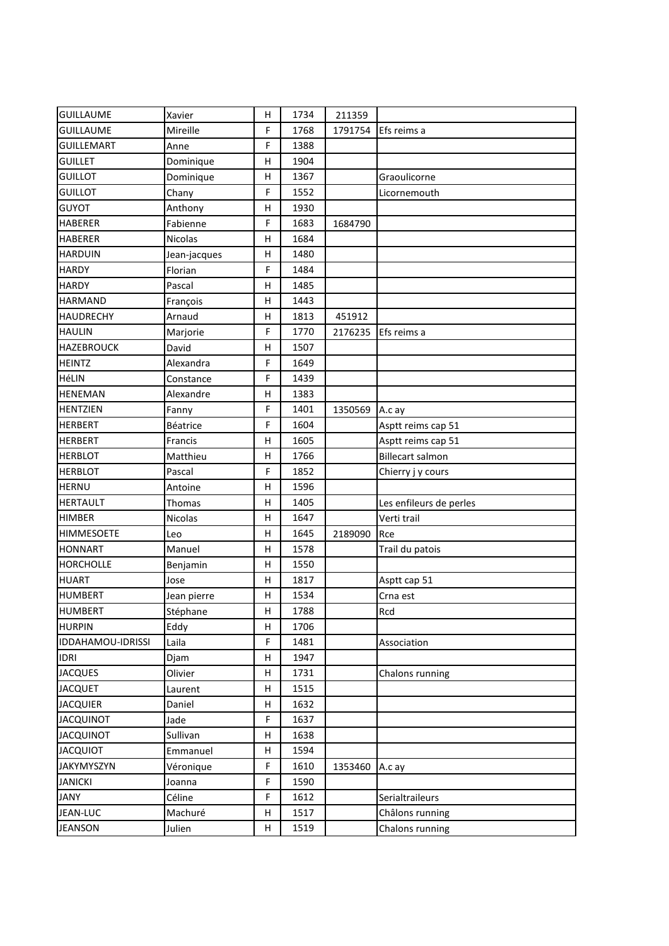| <b>GUILLAUME</b>         | Xavier       | н            | 1734 | 211359  |                         |
|--------------------------|--------------|--------------|------|---------|-------------------------|
| <b>GUILLAUME</b>         | Mireille     | F            | 1768 | 1791754 | Efs reims a             |
| <b>GUILLEMART</b>        | Anne         | F            | 1388 |         |                         |
| <b>GUILLET</b>           | Dominique    | Н            | 1904 |         |                         |
| <b>GUILLOT</b>           | Dominique    | $\mathsf{H}$ | 1367 |         | Graoulicorne            |
| <b>GUILLOT</b>           | Chany        | F            | 1552 |         | Licornemouth            |
| <b>GUYOT</b>             | Anthony      | $\mathsf{H}$ | 1930 |         |                         |
| <b>HABERER</b>           | Fabienne     | F            | 1683 | 1684790 |                         |
| <b>HABERER</b>           | Nicolas      | Н            | 1684 |         |                         |
| <b>HARDUIN</b>           | Jean-jacques | Н            | 1480 |         |                         |
| <b>HARDY</b>             | Florian      | F            | 1484 |         |                         |
| <b>HARDY</b>             | Pascal       | н            | 1485 |         |                         |
| <b>HARMAND</b>           | François     | H            | 1443 |         |                         |
| <b>HAUDRECHY</b>         | Arnaud       | Н            | 1813 | 451912  |                         |
| <b>HAULIN</b>            | Marjorie     | F            | 1770 | 2176235 | Efs reims a             |
| <b>HAZEBROUCK</b>        | David        | H            | 1507 |         |                         |
| <b>HEINTZ</b>            | Alexandra    | F            | 1649 |         |                         |
| HéLIN                    | Constance    | F            | 1439 |         |                         |
| <b>HENEMAN</b>           | Alexandre    | Н            | 1383 |         |                         |
| <b>HENTZIEN</b>          | Fanny        | F            | 1401 | 1350569 | A.c ay                  |
| <b>HERBERT</b>           | Béatrice     | F            | 1604 |         | Asptt reims cap 51      |
| <b>HERBERT</b>           | Francis      | н            | 1605 |         | Asptt reims cap 51      |
| <b>HERBLOT</b>           | Matthieu     | Н            | 1766 |         | <b>Billecart salmon</b> |
| <b>HERBLOT</b>           | Pascal       | F            | 1852 |         | Chierry j y cours       |
| <b>HERNU</b>             | Antoine      | $\mathsf{H}$ | 1596 |         |                         |
| <b>HERTAULT</b>          | Thomas       | н            | 1405 |         | Les enfileurs de perles |
| <b>HIMBER</b>            | Nicolas      | H            | 1647 |         | Verti trail             |
| <b>HIMMESOETE</b>        | Leo          | H            | 1645 | 2189090 | Rce                     |
| <b>HONNART</b>           | Manuel       | н            | 1578 |         | Trail du patois         |
| <b>HORCHOLLE</b>         | Benjamin     | Н            | 1550 |         |                         |
| <b>HUART</b>             | Jose         | Н            | 1817 |         | Asptt cap 51            |
| <b>HUMBERT</b>           | Jean pierre  | н            | 1534 |         | Crna est                |
| HUMBERT                  | Stéphane     | $\mathsf{H}$ | 1788 |         | Rcd                     |
| <b>HURPIN</b>            | Eddy         | н            | 1706 |         |                         |
| <b>IDDAHAMOU-IDRISSI</b> | Laila        | F            | 1481 |         | Association             |
| <b>IDRI</b>              | Djam         | н            | 1947 |         |                         |
| <b>JACQUES</b>           | Olivier      | н            | 1731 |         | Chalons running         |
| <b>JACQUET</b>           | Laurent      | н            | 1515 |         |                         |
| <b>JACQUIER</b>          | Daniel       | н            | 1632 |         |                         |
| <b>JACQUINOT</b>         | Jade         | F            | 1637 |         |                         |
| <b>JACQUINOT</b>         | Sullivan     | Н            | 1638 |         |                         |
| <b>JACQUIOT</b>          | Emmanuel     | н            | 1594 |         |                         |
| <b>JAKYMYSZYN</b>        | Véronique    | F            | 1610 | 1353460 | A.c ay                  |
| <b>JANICKI</b>           | Joanna       | F            | 1590 |         |                         |
| JANY                     | Céline       | F            | 1612 |         | Serialtraileurs         |
| JEAN-LUC                 | Machuré      | н            | 1517 |         | Châlons running         |
| JEANSON                  | Julien       | H            | 1519 |         | Chalons running         |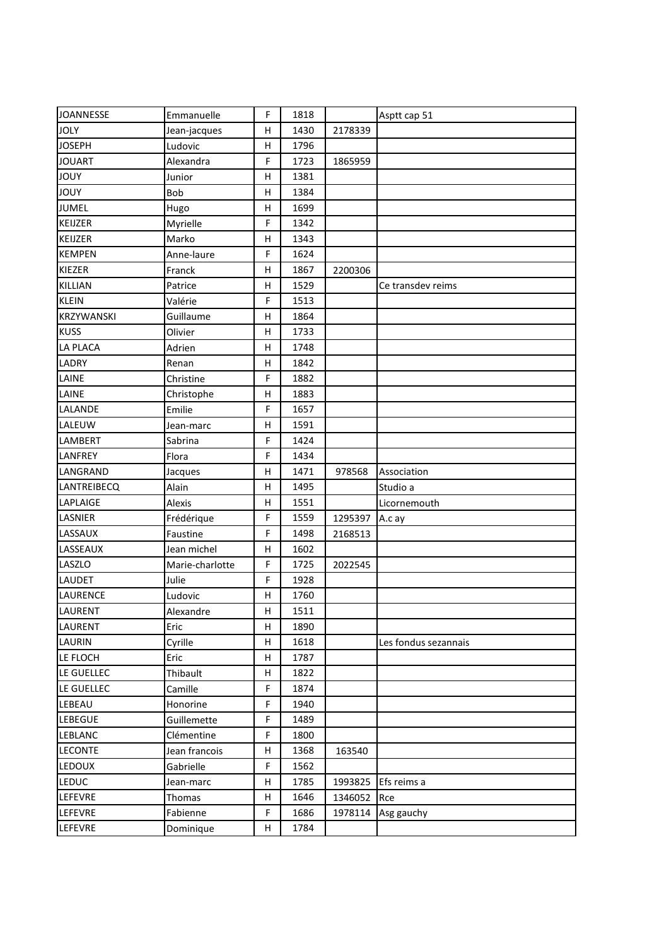| <b>JOANNESSE</b> | Emmanuelle      | F | 1818 |         | Asptt cap 51         |
|------------------|-----------------|---|------|---------|----------------------|
| <b>JOLY</b>      | Jean-jacques    | Η | 1430 | 2178339 |                      |
| <b>JOSEPH</b>    | Ludovic         | Η | 1796 |         |                      |
| <b>JOUART</b>    | Alexandra       | F | 1723 | 1865959 |                      |
| <b>JOUY</b>      | Junior          | Η | 1381 |         |                      |
| <b>YUOL</b>      | Bob             | н | 1384 |         |                      |
| <b>JUMEL</b>     | Hugo            | Η | 1699 |         |                      |
| KEIJZER          | Myrielle        | F | 1342 |         |                      |
| KEIJZER          | Marko           | Η | 1343 |         |                      |
| <b>KEMPEN</b>    | Anne-laure      | F | 1624 |         |                      |
| KIEZER           | Franck          | н | 1867 | 2200306 |                      |
| KILLIAN          | Patrice         | Н | 1529 |         | Ce transdev reims    |
| <b>KLEIN</b>     | Valérie         | F | 1513 |         |                      |
| KRZYWANSKI       | Guillaume       | н | 1864 |         |                      |
| <b>KUSS</b>      | Olivier         | Η | 1733 |         |                      |
| <b>LA PLACA</b>  | Adrien          | н | 1748 |         |                      |
| LADRY            | Renan           | н | 1842 |         |                      |
| LAINE            | Christine       | F | 1882 |         |                      |
| LAINE            | Christophe      | Η | 1883 |         |                      |
| LALANDE          | Emilie          | F | 1657 |         |                      |
| LALEUW           | Jean-marc       | Н | 1591 |         |                      |
| LAMBERT          | Sabrina         | F | 1424 |         |                      |
| LANFREY          | Flora           | F | 1434 |         |                      |
| LANGRAND         | Jacques         | н | 1471 | 978568  | Association          |
| LANTREIBECQ      | Alain           | Η | 1495 |         | Studio a             |
| LAPLAIGE         | Alexis          | Н | 1551 |         | Licornemouth         |
| LASNIER          | Frédérique      | F | 1559 | 1295397 | A.c ay               |
| LASSAUX          | Faustine        | F | 1498 | 2168513 |                      |
| LASSEAUX         | Jean michel     | Н | 1602 |         |                      |
| LASZLO           | Marie-charlotte | F | 1725 | 2022545 |                      |
| <b>LAUDET</b>    | Julie           | F | 1928 |         |                      |
| LAURENCE         | Ludovic         | Н | 1760 |         |                      |
| LAURENT          | Alexandre       | Н | 1511 |         |                      |
| LAURENT          | Eric            | н | 1890 |         |                      |
| <b>LAURIN</b>    | Cyrille         | н | 1618 |         | Les fondus sezannais |
| LE FLOCH         | Eric            | Н | 1787 |         |                      |
| LE GUELLEC       | Thibault        | Н | 1822 |         |                      |
| LE GUELLEC       | Camille         | F | 1874 |         |                      |
| LEBEAU           | Honorine        | F | 1940 |         |                      |
| <b>LEBEGUE</b>   | Guillemette     | F | 1489 |         |                      |
| <b>LEBLANC</b>   | Clémentine      | F | 1800 |         |                      |
| <b>LECONTE</b>   | Jean francois   | Н | 1368 | 163540  |                      |
| LEDOUX           | Gabrielle       | F | 1562 |         |                      |
| <b>LEDUC</b>     | Jean-marc       | Н | 1785 | 1993825 | Efs reims a          |
| LEFEVRE          | Thomas          | н | 1646 | 1346052 | Rce                  |
| LEFEVRE          | Fabienne        | F | 1686 | 1978114 | Asg gauchy           |
| LEFEVRE          | Dominique       | Н | 1784 |         |                      |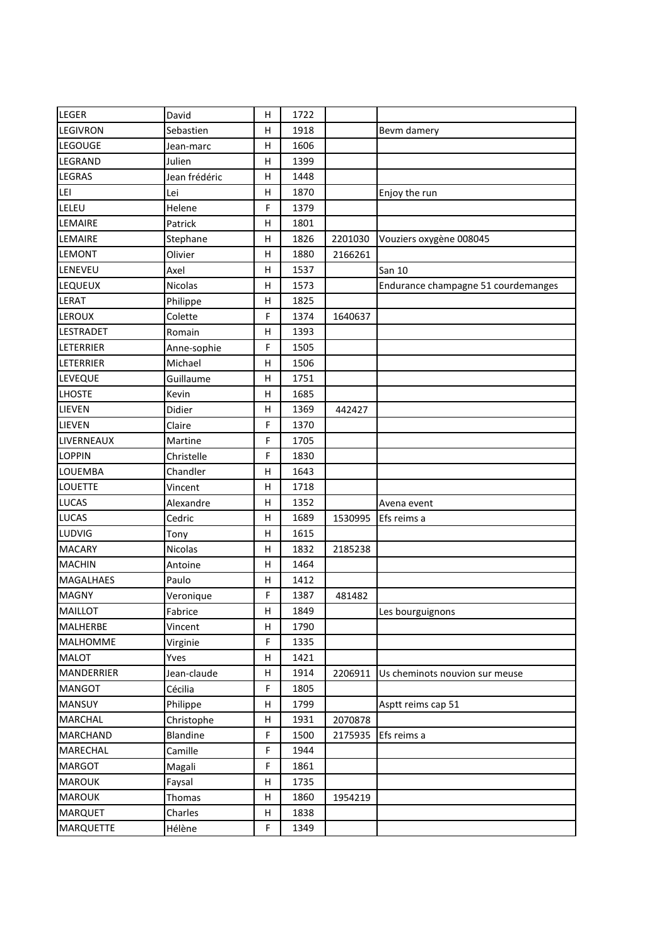| <b>LEGER</b>     | David         | н            | 1722 |         |                                     |
|------------------|---------------|--------------|------|---------|-------------------------------------|
| <b>LEGIVRON</b>  | Sebastien     | н            | 1918 |         | Bevm damery                         |
| LEGOUGE          | Jean-marc     | Н            | 1606 |         |                                     |
| LEGRAND          | Julien        | Н            | 1399 |         |                                     |
| <b>LEGRAS</b>    | Jean frédéric | н            | 1448 |         |                                     |
| LEI              | Lei           | H            | 1870 |         | Enjoy the run                       |
| LELEU            | Helene        | F            | 1379 |         |                                     |
| LEMAIRE          | Patrick       | Н            | 1801 |         |                                     |
| LEMAIRE          | Stephane      | н            | 1826 | 2201030 | Vouziers oxygène 008045             |
| <b>LEMONT</b>    | Olivier       | H            | 1880 | 2166261 |                                     |
| LENEVEU          | Axel          | Н            | 1537 |         | San 10                              |
| <b>LEQUEUX</b>   | Nicolas       | н            | 1573 |         | Endurance champagne 51 courdemanges |
| LERAT            | Philippe      | H            | 1825 |         |                                     |
| LEROUX           | Colette       | F            | 1374 | 1640637 |                                     |
| <b>LESTRADET</b> | Romain        | н            | 1393 |         |                                     |
| <b>LETERRIER</b> | Anne-sophie   | F            | 1505 |         |                                     |
| <b>LETERRIER</b> | Michael       | Н            | 1506 |         |                                     |
| <b>LEVEQUE</b>   | Guillaume     | H            | 1751 |         |                                     |
| <b>LHOSTE</b>    | Kevin         | н            | 1685 |         |                                     |
| LIEVEN           | Didier        | H            | 1369 | 442427  |                                     |
| LIEVEN           | Claire        | F            | 1370 |         |                                     |
| LIVERNEAUX       | Martine       | F            | 1705 |         |                                     |
| <b>LOPPIN</b>    | Christelle    | F            | 1830 |         |                                     |
| LOUEMBA          | Chandler      | H            | 1643 |         |                                     |
| <b>LOUETTE</b>   | Vincent       | н            | 1718 |         |                                     |
| <b>LUCAS</b>     | Alexandre     | H            | 1352 |         | Avena event                         |
| <b>LUCAS</b>     | Cedric        | Н            | 1689 | 1530995 | Efs reims a                         |
| LUDVIG           | Tony          | H            | 1615 |         |                                     |
| <b>MACARY</b>    | Nicolas       | н            | 1832 | 2185238 |                                     |
| <b>MACHIN</b>    | Antoine       | н            | 1464 |         |                                     |
| <b>MAGALHAES</b> | Paulo         | Н            | 1412 |         |                                     |
| <b>MAGNY</b>     | Veronique     | F            | 1387 | 481482  |                                     |
| MAILLOT          | Fabrice       | $\sf H$      | 1849 |         | Les bourguignons                    |
| <b>MALHERBE</b>  | Vincent       | н            | 1790 |         |                                     |
| MALHOMME         | Virginie      | F            | 1335 |         |                                     |
| <b>MALOT</b>     | Yves          | $\mathsf{H}$ | 1421 |         |                                     |
| MANDERRIER       | Jean-claude   | н            | 1914 | 2206911 | Us cheminots nouvion sur meuse      |
| <b>MANGOT</b>    | Cécilia       | F            | 1805 |         |                                     |
| <b>MANSUY</b>    | Philippe      | н            | 1799 |         | Asptt reims cap 51                  |
| <b>MARCHAL</b>   | Christophe    | н            | 1931 | 2070878 |                                     |
| <b>MARCHAND</b>  | Blandine      | F            | 1500 | 2175935 | Efs reims a                         |
| <b>MARECHAL</b>  | Camille       | F            | 1944 |         |                                     |
| <b>MARGOT</b>    | Magali        | F            | 1861 |         |                                     |
| <b>MAROUK</b>    | Faysal        | н            | 1735 |         |                                     |
| <b>MAROUK</b>    | Thomas        | Н            | 1860 | 1954219 |                                     |
| <b>MARQUET</b>   | Charles       | н            | 1838 |         |                                     |
| <b>MARQUETTE</b> | Hélène        | F            | 1349 |         |                                     |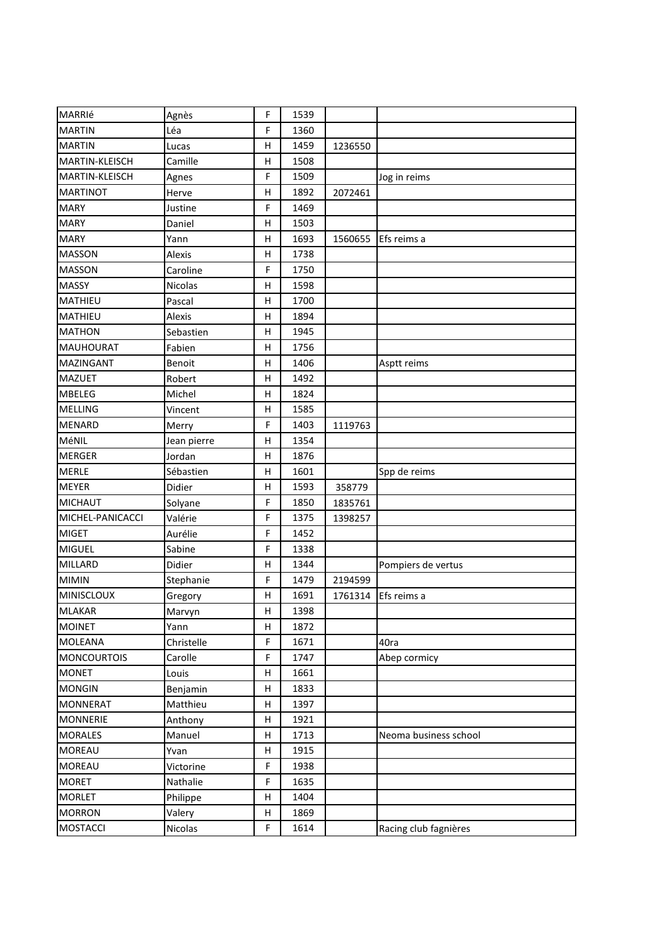| MARRIé             | Agnès       | F            | 1539 |         |                       |
|--------------------|-------------|--------------|------|---------|-----------------------|
| <b>MARTIN</b>      | Léa         | F            | 1360 |         |                       |
| <b>MARTIN</b>      | Lucas       | Η            | 1459 | 1236550 |                       |
| MARTIN-KLEISCH     | Camille     | Н            | 1508 |         |                       |
| MARTIN-KLEISCH     | Agnes       | F            | 1509 |         | Jog in reims          |
| <b>MARTINOT</b>    | Herve       | Η            | 1892 | 2072461 |                       |
| <b>MARY</b>        | Justine     | F            | 1469 |         |                       |
| <b>MARY</b>        | Daniel      | Η            | 1503 |         |                       |
| <b>MARY</b>        | Yann        | Η            | 1693 | 1560655 | Efs reims a           |
| <b>MASSON</b>      | Alexis      | Н            | 1738 |         |                       |
| <b>MASSON</b>      | Caroline    | F            | 1750 |         |                       |
| <b>MASSY</b>       | Nicolas     | Η            | 1598 |         |                       |
| MATHIEU            | Pascal      | Η            | 1700 |         |                       |
| <b>MATHIEU</b>     | Alexis      | Η            | 1894 |         |                       |
| <b>MATHON</b>      | Sebastien   | Η            | 1945 |         |                       |
| <b>MAUHOURAT</b>   | Fabien      | $\mathsf{H}$ | 1756 |         |                       |
| <b>MAZINGANT</b>   | Benoit      | Н            | 1406 |         | Asptt reims           |
| <b>MAZUET</b>      | Robert      | Η            | 1492 |         |                       |
| <b>MBELEG</b>      | Michel      | Η            | 1824 |         |                       |
| <b>MELLING</b>     | Vincent     | Н            | 1585 |         |                       |
| <b>MENARD</b>      | Merry       | F            | 1403 | 1119763 |                       |
| MéNIL              | Jean pierre | Η            | 1354 |         |                       |
| <b>MERGER</b>      | Jordan      | Η            | 1876 |         |                       |
| <b>MERLE</b>       | Sébastien   | Н            | 1601 |         | Spp de reims          |
| <b>MEYER</b>       | Didier      | Η            | 1593 | 358779  |                       |
| <b>MICHAUT</b>     | Solyane     | F            | 1850 | 1835761 |                       |
| MICHEL-PANICACCI   | Valérie     | F            | 1375 | 1398257 |                       |
| <b>MIGET</b>       | Aurélie     | F            | 1452 |         |                       |
| MIGUEL             | Sabine      | F            | 1338 |         |                       |
| <b>MILLARD</b>     | Didier      | Н            | 1344 |         | Pompiers de vertus    |
| <b>MIMIN</b>       | Stephanie   | F            | 1479 | 2194599 |                       |
| <b>MINISCLOUX</b>  | Gregory     | Η            | 1691 | 1761314 | Efs reims a           |
| <b>MLAKAR</b>      | Marvyn      | Н            | 1398 |         |                       |
| <b>MOINET</b>      | Yann        | Н            | 1872 |         |                       |
| <b>MOLEANA</b>     | Christelle  | F            | 1671 |         | 40ra                  |
| <b>MONCOURTOIS</b> | Carolle     | F            | 1747 |         | Abep cormicy          |
| <b>MONET</b>       | Louis       | Н            | 1661 |         |                       |
| <b>MONGIN</b>      | Benjamin    | Н            | 1833 |         |                       |
| <b>MONNERAT</b>    | Matthieu    | н            | 1397 |         |                       |
| <b>MONNERIE</b>    | Anthony     | Н            | 1921 |         |                       |
| <b>MORALES</b>     | Manuel      | Н            | 1713 |         | Neoma business school |
| <b>MOREAU</b>      | Yvan        | Н            | 1915 |         |                       |
| <b>MOREAU</b>      | Victorine   | F            | 1938 |         |                       |
| <b>MORET</b>       | Nathalie    | F            | 1635 |         |                       |
| <b>MORLET</b>      | Philippe    | Н            | 1404 |         |                       |
| <b>MORRON</b>      | Valery      | Н            | 1869 |         |                       |
| <b>MOSTACCI</b>    | Nicolas     | F            | 1614 |         | Racing club fagnières |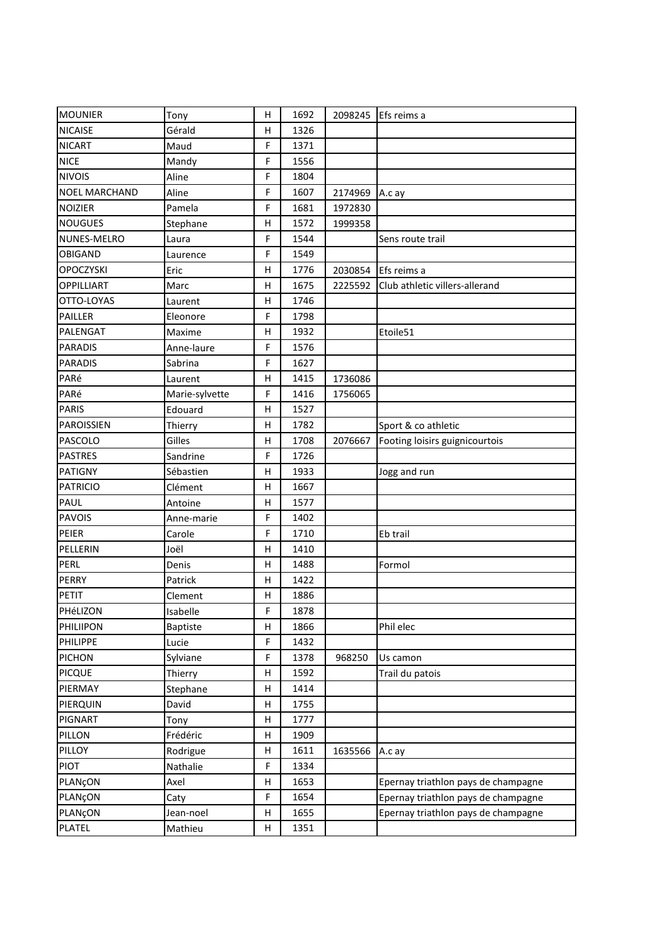| <b>MOUNIER</b>       | Tony            | н | 1692 |         | 2098245 Efs reims a                 |
|----------------------|-----------------|---|------|---------|-------------------------------------|
| <b>NICAISE</b>       | Gérald          | H | 1326 |         |                                     |
| <b>NICART</b>        | Maud            | F | 1371 |         |                                     |
| <b>NICE</b>          | Mandy           | F | 1556 |         |                                     |
| <b>NIVOIS</b>        | Aline           | F | 1804 |         |                                     |
| <b>NOEL MARCHAND</b> | Aline           | F | 1607 | 2174969 | A.c ay                              |
| <b>NOIZIER</b>       | Pamela          | F | 1681 | 1972830 |                                     |
| <b>NOUGUES</b>       | Stephane        | H | 1572 | 1999358 |                                     |
| NUNES-MELRO          | Laura           | F | 1544 |         | Sens route trail                    |
| <b>OBIGAND</b>       | Laurence        | F | 1549 |         |                                     |
| <b>OPOCZYSKI</b>     | Eric            | Н | 1776 | 2030854 | Efs reims a                         |
| OPPILLIART           | Marc            | н | 1675 | 2225592 | Club athletic villers-allerand      |
| OTTO-LOYAS           | Laurent         | Н | 1746 |         |                                     |
| PAILLER              | Eleonore        | F | 1798 |         |                                     |
| PALENGAT             | Maxime          | H | 1932 |         | Etoile51                            |
| <b>PARADIS</b>       | Anne-laure      | F | 1576 |         |                                     |
| <b>PARADIS</b>       | Sabrina         | F | 1627 |         |                                     |
| PARé                 | Laurent         | Н | 1415 | 1736086 |                                     |
| PARé                 | Marie-sylvette  | F | 1416 | 1756065 |                                     |
| <b>PARIS</b>         | Edouard         | H | 1527 |         |                                     |
| PAROISSIEN           | Thierry         | Н | 1782 |         | Sport & co athletic                 |
| PASCOLO              | Gilles          | H | 1708 | 2076667 | Footing loisirs guignicourtois      |
| <b>PASTRES</b>       | Sandrine        | F | 1726 |         |                                     |
| PATIGNY              | Sébastien       | Н | 1933 |         | Jogg and run                        |
| <b>PATRICIO</b>      | Clément         | H | 1667 |         |                                     |
| PAUL                 | Antoine         | н | 1577 |         |                                     |
| <b>PAVOIS</b>        | Anne-marie      | F | 1402 |         |                                     |
| PEIER                | Carole          | F | 1710 |         | Eb trail                            |
| PELLERIN             | Joël            | H | 1410 |         |                                     |
| PERL                 | Denis           | H | 1488 |         | Formol                              |
| <b>PERRY</b>         | Patrick         | Н | 1422 |         |                                     |
| PETIT                | Clement         | н | 1886 |         |                                     |
| PHéLIZON             | Isabelle        | F | 1878 |         |                                     |
| <b>PHILIIPON</b>     | <b>Baptiste</b> | н | 1866 |         | Phil elec                           |
| PHILIPPE             | Lucie           | F | 1432 |         |                                     |
| <b>PICHON</b>        | Sylviane        | F | 1378 | 968250  | Us camon                            |
| <b>PICQUE</b>        | Thierry         | Н | 1592 |         | Trail du patois                     |
| PIERMAY              | Stephane        | Н | 1414 |         |                                     |
| PIERQUIN             | David           | н | 1755 |         |                                     |
| PIGNART              | Tony            | Н | 1777 |         |                                     |
| PILLON               | Frédéric        | н | 1909 |         |                                     |
| PILLOY               | Rodrigue        | н | 1611 | 1635566 | A.c ay                              |
| <b>PIOT</b>          | Nathalie        | F | 1334 |         |                                     |
| PLANÇON              | Axel            | Н | 1653 |         | Epernay triathlon pays de champagne |
| PLANÇON              | Caty            | F | 1654 |         | Epernay triathlon pays de champagne |
| PLANÇON              | Jean-noel       | н | 1655 |         | Epernay triathlon pays de champagne |
| PLATEL               | Mathieu         | н | 1351 |         |                                     |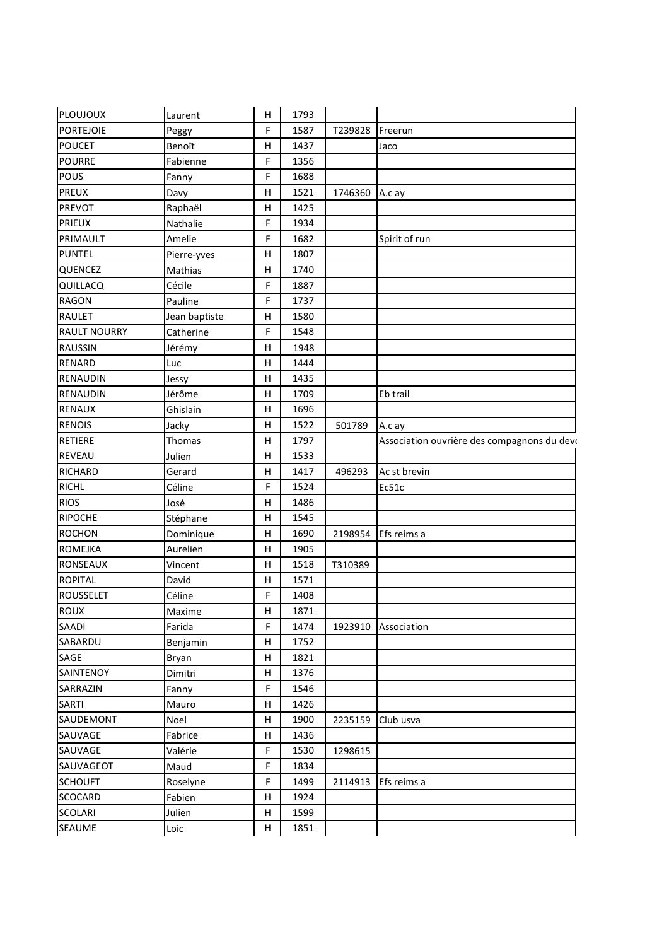| PLOUJOUX            | Laurent       | H  | 1793 |         |                                             |
|---------------------|---------------|----|------|---------|---------------------------------------------|
| <b>PORTEJOIE</b>    | Peggy         | F. | 1587 | T239828 | Freerun                                     |
| <b>POUCET</b>       | Benoît        | н  | 1437 |         | Jaco                                        |
| <b>POURRE</b>       | Fabienne      | F  | 1356 |         |                                             |
| <b>POUS</b>         | Fanny         | F  | 1688 |         |                                             |
| <b>PREUX</b>        | Davy          | H  | 1521 | 1746360 | A.c ay                                      |
| <b>PREVOT</b>       | Raphaël       | H  | 1425 |         |                                             |
| <b>PRIEUX</b>       | Nathalie      | F  | 1934 |         |                                             |
| PRIMAULT            | Amelie        | F  | 1682 |         | Spirit of run                               |
| <b>PUNTEL</b>       | Pierre-yves   | H  | 1807 |         |                                             |
| QUENCEZ             | Mathias       | H  | 1740 |         |                                             |
| QUILLACQ            | Cécile        | F  | 1887 |         |                                             |
| <b>RAGON</b>        | Pauline       | F  | 1737 |         |                                             |
| RAULET              | Jean baptiste | H  | 1580 |         |                                             |
| <b>RAULT NOURRY</b> | Catherine     | F  | 1548 |         |                                             |
| <b>RAUSSIN</b>      | Jérémy        | н  | 1948 |         |                                             |
| <b>RENARD</b>       | Luc           | H  | 1444 |         |                                             |
| RENAUDIN            | Jessy         | H  | 1435 |         |                                             |
| RENAUDIN            | Jérôme        | H  | 1709 |         | Eb trail                                    |
| <b>RENAUX</b>       | Ghislain      | H  | 1696 |         |                                             |
| <b>RENOIS</b>       | Jacky         | H  | 1522 | 501789  | A.c ay                                      |
| <b>RETIERE</b>      | Thomas        | H  | 1797 |         | Association ouvrière des compagnons du devo |
| <b>REVEAU</b>       | Julien        | H  | 1533 |         |                                             |
| <b>RICHARD</b>      | Gerard        | H  | 1417 | 496293  | Ac st brevin                                |
| <b>RICHL</b>        | Céline        | F  | 1524 |         | Ec51c                                       |
| <b>RIOS</b>         | José          | H  | 1486 |         |                                             |
| <b>RIPOCHE</b>      | Stéphane      | H  | 1545 |         |                                             |
| <b>ROCHON</b>       | Dominique     | н  | 1690 | 2198954 | Efs reims a                                 |
| <b>ROMEJKA</b>      | Aurelien      | H  | 1905 |         |                                             |
| <b>RONSEAUX</b>     | Vincent       | H  | 1518 | T310389 |                                             |
| <b>ROPITAL</b>      | David         | H  | 1571 |         |                                             |
| <b>ROUSSELET</b>    | Céline        | F  | 1408 |         |                                             |
| ROUX                | Maxime        | H  | 1871 |         |                                             |
| SAADI               | Farida        | F  | 1474 | 1923910 | Association                                 |
| SABARDU             | Benjamin      | H  | 1752 |         |                                             |
| SAGE                | Bryan         | H  | 1821 |         |                                             |
| SAINTENOY           | Dimitri       | н  | 1376 |         |                                             |
| SARRAZIN            | Fanny         | F  | 1546 |         |                                             |
| <b>SARTI</b>        | Mauro         | H  | 1426 |         |                                             |
| SAUDEMONT           | Noel          | н  | 1900 | 2235159 | Club usva                                   |
| SAUVAGE             | Fabrice       | H  | 1436 |         |                                             |
| SAUVAGE             | Valérie       | F  | 1530 | 1298615 |                                             |
| SAUVAGEOT           | Maud          | F  | 1834 |         |                                             |
| <b>SCHOUFT</b>      | Roselyne      | F. | 1499 | 2114913 | Efs reims a                                 |
| <b>SCOCARD</b>      | Fabien        | Н  | 1924 |         |                                             |
| <b>SCOLARI</b>      | Julien        | H  | 1599 |         |                                             |
| SEAUME              | Loic          | H  | 1851 |         |                                             |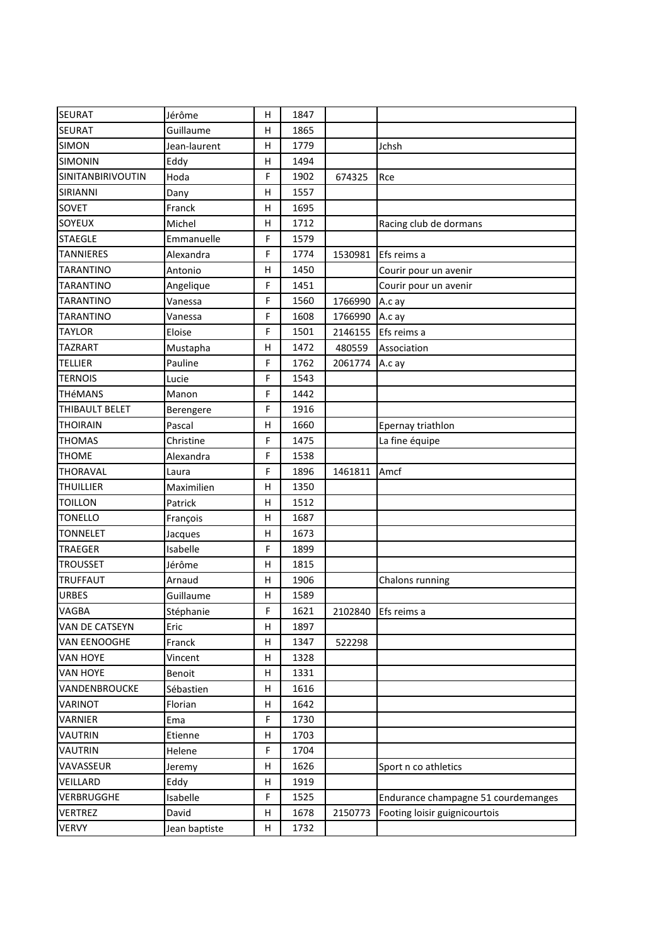| <b>SEURAT</b>       | Jérôme        | Η | 1847 |         |                                     |
|---------------------|---------------|---|------|---------|-------------------------------------|
| SEURAT              | Guillaume     | Η | 1865 |         |                                     |
| <b>SIMON</b>        | Jean-laurent  | Η | 1779 |         | Jchsh                               |
| <b>SIMONIN</b>      | Eddy          | Η | 1494 |         |                                     |
| SINITANBIRIVOUTIN   | Hoda          | F | 1902 | 674325  | Rce                                 |
| SIRIANNI            | Dany          | Η | 1557 |         |                                     |
| SOVET               | Franck        | Η | 1695 |         |                                     |
| SOYEUX              | Michel        | Η | 1712 |         | Racing club de dormans              |
| <b>STAEGLE</b>      | Emmanuelle    | F | 1579 |         |                                     |
| <b>TANNIERES</b>    | Alexandra     | F | 1774 | 1530981 | Efs reims a                         |
| <b>TARANTINO</b>    | Antonio       | Η | 1450 |         | Courir pour un avenir               |
| <b>TARANTINO</b>    | Angelique     | F | 1451 |         | Courir pour un avenir               |
| <b>TARANTINO</b>    | Vanessa       | F | 1560 | 1766990 | A.c ay                              |
| <b>TARANTINO</b>    | Vanessa       | F | 1608 | 1766990 | A.c ay                              |
| <b>TAYLOR</b>       | Eloise        | F | 1501 | 2146155 | Efs reims a                         |
| <b>TAZRART</b>      | Mustapha      | Η | 1472 | 480559  | Association                         |
| <b>TELLIER</b>      | Pauline       | F | 1762 | 2061774 | A.c ay                              |
| <b>TERNOIS</b>      | Lucie         | F | 1543 |         |                                     |
| <b>THéMANS</b>      | Manon         | F | 1442 |         |                                     |
| THIBAULT BELET      | Berengere     | F | 1916 |         |                                     |
| <b>THOIRAIN</b>     | Pascal        | Η | 1660 |         | Epernay triathlon                   |
| <b>THOMAS</b>       | Christine     | F | 1475 |         | La fine équipe                      |
| <b>THOME</b>        | Alexandra     | F | 1538 |         |                                     |
| THORAVAL            | Laura         | F | 1896 | 1461811 | Amcf                                |
| <b>THUILLIER</b>    | Maximilien    | Η | 1350 |         |                                     |
| <b>TOILLON</b>      | Patrick       | Η | 1512 |         |                                     |
| <b>TONELLO</b>      | François      | Н | 1687 |         |                                     |
| <b>TONNELET</b>     | Jacques       | н | 1673 |         |                                     |
| <b>TRAEGER</b>      | Isabelle      | F | 1899 |         |                                     |
| <b>TROUSSET</b>     | Jérôme        | Η | 1815 |         |                                     |
| <b>TRUFFAUT</b>     | Arnaud        | Η | 1906 |         | Chalons running                     |
| <b>URBES</b>        | Guillaume     | н | 1589 |         |                                     |
| VAGBA               | Stéphanie     | F | 1621 | 2102840 | Efs reims a                         |
| VAN DE CATSEYN      | Eric          | н | 1897 |         |                                     |
| <b>VAN EENOOGHE</b> | Franck        | н | 1347 | 522298  |                                     |
| <b>VAN HOYE</b>     | Vincent       | н | 1328 |         |                                     |
| <b>VAN HOYE</b>     | Benoit        | н | 1331 |         |                                     |
| VANDENBROUCKE       | Sébastien     | н | 1616 |         |                                     |
| VARINOT             | Florian       | н | 1642 |         |                                     |
| VARNIER             | Ema           | F | 1730 |         |                                     |
| VAUTRIN             | Etienne       | Н | 1703 |         |                                     |
| <b>VAUTRIN</b>      | Helene        | F | 1704 |         |                                     |
| VAVASSEUR           | Jeremy        | н | 1626 |         | Sport n co athletics                |
| VEILLARD            | Eddy          | Н | 1919 |         |                                     |
| VERBRUGGHE          | Isabelle      | F | 1525 |         | Endurance champagne 51 courdemanges |
| <b>VERTREZ</b>      | David         | н | 1678 | 2150773 | Footing loisir guignicourtois       |
| <b>VERVY</b>        | Jean baptiste | H | 1732 |         |                                     |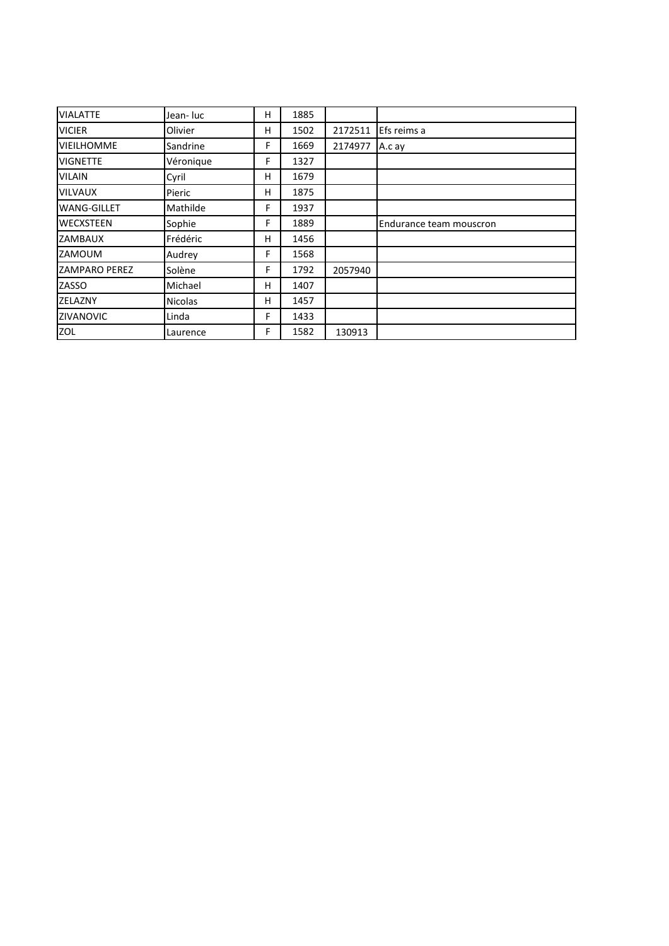| <b>VIALATTE</b>      | Jean- luc      | н | 1885 |         |                         |
|----------------------|----------------|---|------|---------|-------------------------|
| <b>VICIER</b>        | Olivier        | н | 1502 | 2172511 | Efs reims a             |
| <b>VIEILHOMME</b>    | Sandrine       | F | 1669 | 2174977 | A.c ay                  |
| <b>VIGNETTE</b>      | Véronique      | F | 1327 |         |                         |
| <b>VILAIN</b>        | Cyril          | н | 1679 |         |                         |
| <b>VILVAUX</b>       | Pieric         | н | 1875 |         |                         |
| <b>WANG-GILLET</b>   | Mathilde       | F | 1937 |         |                         |
| <b>WECXSTEEN</b>     | Sophie         | F | 1889 |         | Endurance team mouscron |
| ZAMBAUX              | Frédéric       | н | 1456 |         |                         |
| ZAMOUM               | Audrey         | F | 1568 |         |                         |
| <b>ZAMPARO PEREZ</b> | Solène         | F | 1792 | 2057940 |                         |
| ZASSO                | Michael        | н | 1407 |         |                         |
| <b>ZELAZNY</b>       | <b>Nicolas</b> | н | 1457 |         |                         |
| ZIVANOVIC            | Linda          | F | 1433 |         |                         |
| ZOL                  | Laurence       | F | 1582 | 130913  |                         |